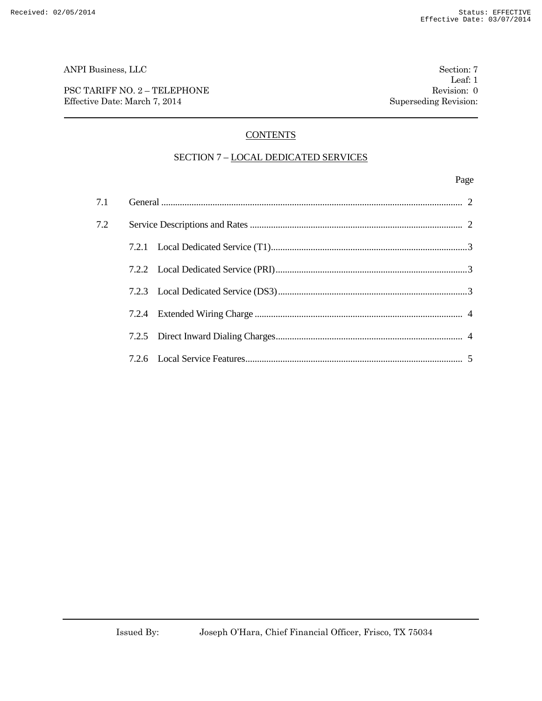PSC TARIFF NO. 2 – TELEPHONE Revision: 0 Effective Date: March 7, 2014 Superseding Revision:

## **CONTENTS**

### SECTION 7 – LOCAL DEDICATED SERVICES

### Page

| 7.1 |  |  |
|-----|--|--|
| 7.2 |  |  |
|     |  |  |
|     |  |  |
|     |  |  |
|     |  |  |
|     |  |  |
|     |  |  |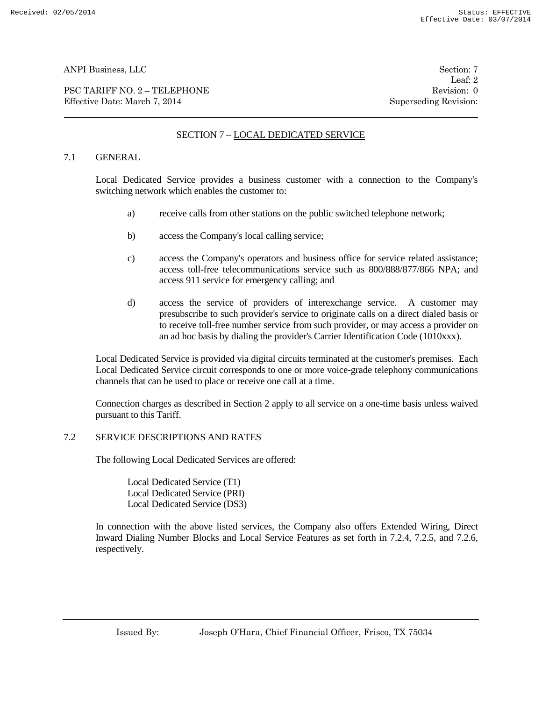PSC TARIFF NO. 2 – TELEPHONE Revision: 0 Effective Date: March 7, 2014 Superseding Revision:

Leaf: 2

## SECTION 7 – LOCAL DEDICATED SERVICE

### 7.1 GENERAL

Local Dedicated Service provides a business customer with a connection to the Company's switching network which enables the customer to:

- a) receive calls from other stations on the public switched telephone network;
- b) access the Company's local calling service;
- c) access the Company's operators and business office for service related assistance; access toll-free telecommunications service such as 800/888/877/866 NPA; and access 911 service for emergency calling; and
- d) access the service of providers of interexchange service. A customer may presubscribe to such provider's service to originate calls on a direct dialed basis or to receive toll-free number service from such provider, or may access a provider on an ad hoc basis by dialing the provider's Carrier Identification Code (1010xxx).

Local Dedicated Service is provided via digital circuits terminated at the customer's premises. Each Local Dedicated Service circuit corresponds to one or more voice-grade telephony communications channels that can be used to place or receive one call at a time.

Connection charges as described in Section 2 apply to all service on a one-time basis unless waived pursuant to this Tariff.

#### 7.2 SERVICE DESCRIPTIONS AND RATES

The following Local Dedicated Services are offered:

Local Dedicated Service (T1) Local Dedicated Service (PRI) Local Dedicated Service (DS3)

In connection with the above listed services, the Company also offers Extended Wiring, Direct Inward Dialing Number Blocks and Local Service Features as set forth in 7.2.4, 7.2.5, and 7.2.6, respectively.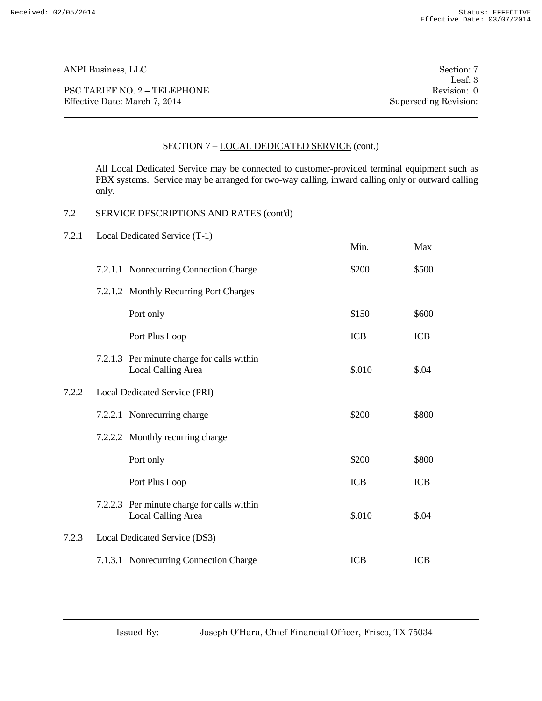PSC TARIFF NO. 2 – TELEPHONE Revision: 0 Effective Date: March 7, 2014 Superseding Revision:

Leaf: 3

### SECTION 7 – LOCAL DEDICATED SERVICE (cont.)

All Local Dedicated Service may be connected to customer-provided terminal equipment such as PBX systems. Service may be arranged for two-way calling, inward calling only or outward calling only.

### 7.2 SERVICE DESCRIPTIONS AND RATES (cont'd)

| 7.2.1 | Local Dedicated Service (T-1)                                    |            |            |
|-------|------------------------------------------------------------------|------------|------------|
|       |                                                                  | Min.       | <b>Max</b> |
|       | 7.2.1.1 Nonrecurring Connection Charge                           | \$200      | \$500      |
|       | 7.2.1.2 Monthly Recurring Port Charges                           |            |            |
|       | Port only                                                        | \$150      | \$600      |
|       | Port Plus Loop                                                   | <b>ICB</b> | <b>ICB</b> |
|       | 7.2.1.3 Per minute charge for calls within<br>Local Calling Area | \$.010     | \$.04      |
| 7.2.2 | Local Dedicated Service (PRI)                                    |            |            |
|       | 7.2.2.1 Nonrecurring charge                                      | \$200      | \$800      |
|       | 7.2.2.2 Monthly recurring charge                                 |            |            |
|       | Port only                                                        | \$200      | \$800      |
|       | Port Plus Loop                                                   | <b>ICB</b> | <b>ICB</b> |
|       | 7.2.2.3 Per minute charge for calls within<br>Local Calling Area | \$.010     | \$.04      |
| 7.2.3 | Local Dedicated Service (DS3)                                    |            |            |
|       | 7.1.3.1 Nonrecurring Connection Charge                           | <b>ICB</b> | <b>ICB</b> |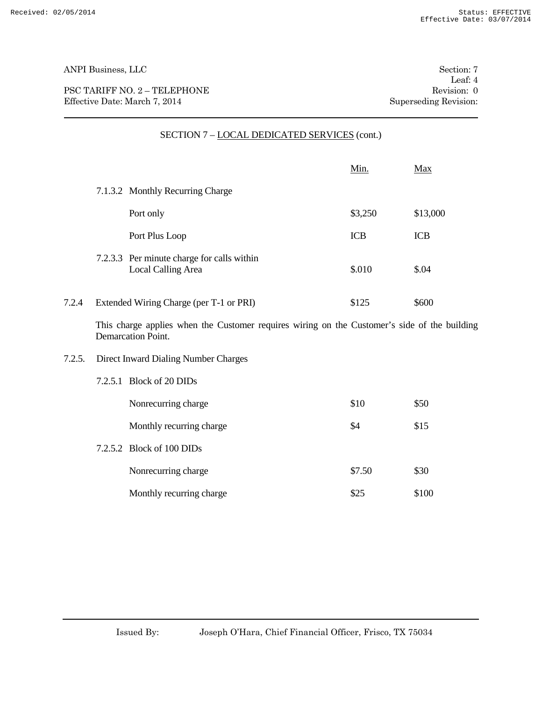PSC TARIFF NO. 2 – TELEPHONE Revision: 0 Effective Date: March 7, 2014 Superseding Revision:

Leaf: 4

|        |                                                                                                                           | Min.       | <b>Max</b> |
|--------|---------------------------------------------------------------------------------------------------------------------------|------------|------------|
|        | 7.1.3.2 Monthly Recurring Charge                                                                                          |            |            |
|        | Port only                                                                                                                 | \$3,250    | \$13,000   |
|        | Port Plus Loop                                                                                                            | <b>ICB</b> | <b>ICB</b> |
|        | 7.2.3.3 Per minute charge for calls within<br>Local Calling Area                                                          | \$.010     | \$.04      |
| 7.2.4  | Extended Wiring Charge (per T-1 or PRI)                                                                                   | \$125      | \$600      |
|        | This charge applies when the Customer requires wiring on the Customer's side of the building<br><b>Demarcation Point.</b> |            |            |
| 7.2.5. | Direct Inward Dialing Number Charges                                                                                      |            |            |
|        | 7.2.5.1 Block of 20 DIDs                                                                                                  |            |            |
|        | Nonrecurring charge                                                                                                       | \$10       | \$50       |
|        | Monthly recurring charge                                                                                                  | \$4        | \$15       |
|        | 7.2.5.2 Block of 100 DIDs                                                                                                 |            |            |

# SECTION 7 – LOCAL DEDICATED SERVICES (cont.)

Nonrecurring charge \$7.50 \$30

Monthly recurring charge \$25 \$100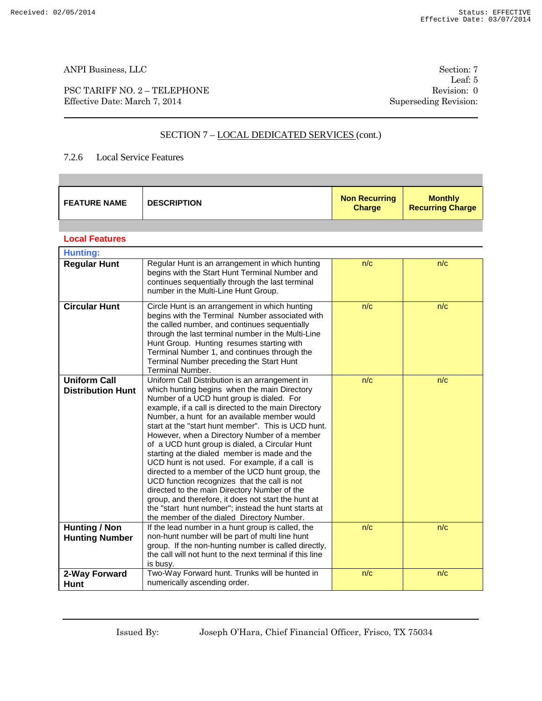×

ANPI Business, LLC Section: 7

PSC TARIFF NO. 2 – TELEPHONE Revision: 0 Effective Date: March 7, 2014 Superseding Revision:

Leaf: 5

# SECTION 7 – LOCAL DEDICATED SERVICES (cont.)

### 7.2.6 Local Service Features

| <b>FEATURE NAME</b>                             | <b>DESCRIPTION</b>                                                                                                                                                                                                                                                                                                                                                                                                                                                                                                                                                                                                                                                                                                                                                                                                              | <b>Non Recurring</b><br><b>Charge</b> | <b>Monthly</b><br><b>Recurring Charge</b> |  |  |
|-------------------------------------------------|---------------------------------------------------------------------------------------------------------------------------------------------------------------------------------------------------------------------------------------------------------------------------------------------------------------------------------------------------------------------------------------------------------------------------------------------------------------------------------------------------------------------------------------------------------------------------------------------------------------------------------------------------------------------------------------------------------------------------------------------------------------------------------------------------------------------------------|---------------------------------------|-------------------------------------------|--|--|
|                                                 |                                                                                                                                                                                                                                                                                                                                                                                                                                                                                                                                                                                                                                                                                                                                                                                                                                 |                                       |                                           |  |  |
| <b>Local Features</b>                           |                                                                                                                                                                                                                                                                                                                                                                                                                                                                                                                                                                                                                                                                                                                                                                                                                                 |                                       |                                           |  |  |
| <b>Hunting:</b>                                 |                                                                                                                                                                                                                                                                                                                                                                                                                                                                                                                                                                                                                                                                                                                                                                                                                                 |                                       |                                           |  |  |
| <b>Regular Hunt</b>                             | Regular Hunt is an arrangement in which hunting<br>begins with the Start Hunt Terminal Number and<br>continues sequentially through the last terminal<br>number in the Multi-Line Hunt Group.                                                                                                                                                                                                                                                                                                                                                                                                                                                                                                                                                                                                                                   | n/c                                   | n/c                                       |  |  |
| <b>Circular Hunt</b>                            | Circle Hunt is an arrangement in which hunting<br>begins with the Terminal Number associated with<br>the called number, and continues sequentially<br>through the last terminal number in the Multi-Line<br>Hunt Group. Hunting resumes starting with<br>Terminal Number 1, and continues through the<br>Terminal Number preceding the Start Hunt<br>Terminal Number.                                                                                                                                                                                                                                                                                                                                                                                                                                                           | n/c                                   | n/c                                       |  |  |
| <b>Uniform Call</b><br><b>Distribution Hunt</b> | Uniform Call Distribution is an arrangement in<br>which hunting begins when the main Directory<br>Number of a UCD hunt group is dialed. For<br>example, if a call is directed to the main Directory<br>Number, a hunt for an available member would<br>start at the "start hunt member". This is UCD hunt.<br>However, when a Directory Number of a member<br>of a UCD hunt group is dialed, a Circular Hunt<br>starting at the dialed member is made and the<br>UCD hunt is not used. For example, if a call is<br>directed to a member of the UCD hunt group, the<br>UCD function recognizes that the call is not<br>directed to the main Directory Number of the<br>group, and therefore, it does not start the hunt at<br>the "start hunt number"; instead the hunt starts at<br>the member of the dialed Directory Number. | n/c                                   | n/c                                       |  |  |
| <b>Hunting / Non</b><br><b>Hunting Number</b>   | If the lead number in a hunt group is called, the<br>non-hunt number will be part of multi line hunt<br>group. If the non-hunting number is called directly,<br>the call will not hunt to the next terminal if this line<br>is busy.                                                                                                                                                                                                                                                                                                                                                                                                                                                                                                                                                                                            | n/c                                   | n/c                                       |  |  |
| 2-Way Forward<br><b>Hunt</b>                    | Two-Way Forward hunt. Trunks will be hunted in<br>numerically ascending order.                                                                                                                                                                                                                                                                                                                                                                                                                                                                                                                                                                                                                                                                                                                                                  | n/c                                   | n/c                                       |  |  |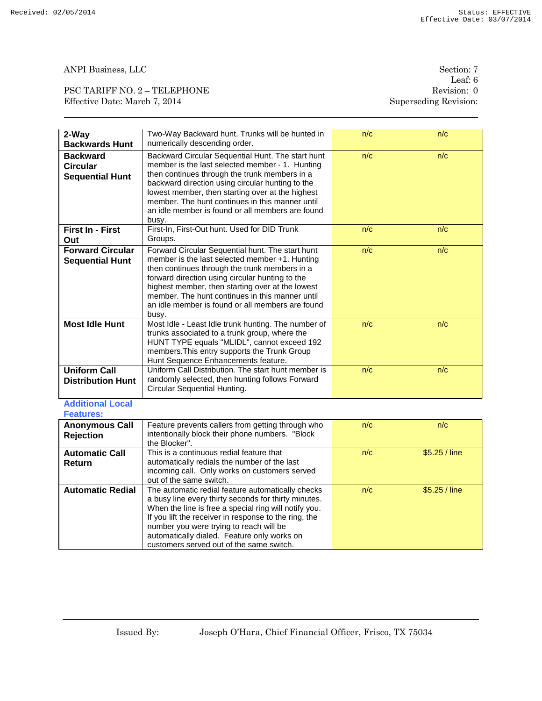| PSC TARIFF NO. 2 – TELEPHONE  |
|-------------------------------|
| Effective Date: March 7, 2014 |

Leaf: 6 Revision: 0 Superseding Revision:

| 2-Way<br><b>Backwards Hunt</b>                               | Two-Way Backward hunt. Trunks will be hunted in<br>numerically descending order.                                                                                                                                                                                                                                                                                              | n/c | n/c           |
|--------------------------------------------------------------|-------------------------------------------------------------------------------------------------------------------------------------------------------------------------------------------------------------------------------------------------------------------------------------------------------------------------------------------------------------------------------|-----|---------------|
| <b>Backward</b><br><b>Circular</b><br><b>Sequential Hunt</b> | Backward Circular Sequential Hunt. The start hunt<br>member is the last selected member - 1. Hunting<br>then continues through the trunk members in a<br>backward direction using circular hunting to the<br>lowest member, then starting over at the highest<br>member. The hunt continues in this manner until<br>an idle member is found or all members are found<br>busy. | n/c | n/c           |
| <b>First In - First</b><br>Out                               | First-In, First-Out hunt. Used for DID Trunk<br>Groups.                                                                                                                                                                                                                                                                                                                       | n/c | n/c           |
| <b>Forward Circular</b><br><b>Sequential Hunt</b>            | Forward Circular Sequential hunt. The start hunt<br>member is the last selected member +1. Hunting<br>then continues through the trunk members in a<br>forward direction using circular hunting to the<br>highest member, then starting over at the lowest<br>member. The hunt continues in this manner until<br>an idle member is found or all members are found<br>busy.    | n/c | n/c           |
| <b>Most Idle Hunt</b>                                        | Most Idle - Least Idle trunk hunting. The number of<br>trunks associated to a trunk group, where the<br>HUNT TYPE equals "MLIDL", cannot exceed 192<br>members. This entry supports the Trunk Group<br>Hunt Sequence Enhancements feature.                                                                                                                                    | n/c | n/c           |
| <b>Uniform Call</b><br><b>Distribution Hunt</b>              | Uniform Call Distribution. The start hunt member is<br>randomly selected, then hunting follows Forward<br>Circular Sequential Hunting.                                                                                                                                                                                                                                        | n/c | n/c           |
| <b>Additional Local</b><br><b>Features:</b>                  |                                                                                                                                                                                                                                                                                                                                                                               |     |               |
| <b>Anonymous Call</b><br><b>Rejection</b>                    | Feature prevents callers from getting through who<br>intentionally block their phone numbers. "Block<br>the Blocker".                                                                                                                                                                                                                                                         | n/c | n/c           |
| <b>Automatic Call</b><br>Return                              | This is a continuous redial feature that<br>automatically redials the number of the last<br>incoming call. Only works on customers served<br>out of the same switch.                                                                                                                                                                                                          | n/c | \$5.25 / line |
| <b>Automatic Redial</b>                                      | The automatic redial feature automatically checks<br>a busy line every thirty seconds for thirty minutes.<br>When the line is free a special ring will notify you.<br>If you lift the receiver in response to the ring, the<br>number you were trying to reach will be<br>automatically dialed. Feature only works on                                                         | n/c | \$5.25 / line |

customers served out of the same switch.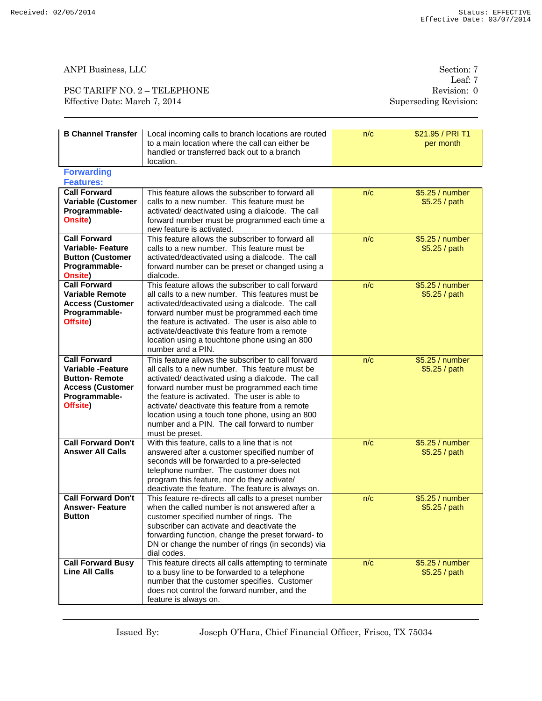PSC TARIFF NO. 2 – TELEPHONE Revision: 0 Effective Date: March 7, 2014 Superseding Revision:

Leaf: 7

| <b>B Channel Transfer</b><br>Local incoming calls to branch locations are routed<br>to a main location where the call can either be<br>handled or transferred back out to a branch<br>location. |                                                                                                                                                                                                                                                                                                                                                                                                                                     | n/c | \$21.95 / PRI T1<br>per month    |
|-------------------------------------------------------------------------------------------------------------------------------------------------------------------------------------------------|-------------------------------------------------------------------------------------------------------------------------------------------------------------------------------------------------------------------------------------------------------------------------------------------------------------------------------------------------------------------------------------------------------------------------------------|-----|----------------------------------|
| <b>Forwarding</b><br><b>Features:</b>                                                                                                                                                           |                                                                                                                                                                                                                                                                                                                                                                                                                                     |     |                                  |
| <b>Call Forward</b><br><b>Variable (Customer</b><br>Programmable-<br>Onsite)                                                                                                                    | This feature allows the subscriber to forward all<br>calls to a new number. This feature must be<br>activated/ deactivated using a dialcode. The call<br>forward number must be programmed each time a<br>new feature is activated.                                                                                                                                                                                                 | n/c | \$5.25 / number<br>\$5.25 / path |
| <b>Call Forward</b><br><b>Variable-Feature</b><br><b>Button (Customer</b><br>Programmable-<br>Onsite)                                                                                           | This feature allows the subscriber to forward all<br>calls to a new number. This feature must be<br>activated/deactivated using a dialcode. The call<br>forward number can be preset or changed using a<br>dialcode.                                                                                                                                                                                                                | n/c | \$5.25 / number<br>\$5.25 / path |
| <b>Call Forward</b><br><b>Variable Remote</b><br><b>Access (Customer</b><br>Programmable-<br>Offsite)                                                                                           | This feature allows the subscriber to call forward<br>all calls to a new number. This features must be<br>activated/deactivated using a dialcode. The call<br>forward number must be programmed each time<br>the feature is activated. The user is also able to<br>activate/deactivate this feature from a remote<br>location using a touchtone phone using an 800<br>number and a PIN.                                             | n/c | \$5.25 / number<br>\$5.25 / path |
| <b>Call Forward</b><br><b>Variable -Feature</b><br><b>Button-Remote</b><br><b>Access (Customer</b><br>Programmable-<br>Offsite)                                                                 | This feature allows the subscriber to call forward<br>all calls to a new number. This feature must be<br>activated/ deactivated using a dialcode. The call<br>forward number must be programmed each time<br>the feature is activated. The user is able to<br>activate/ deactivate this feature from a remote<br>location using a touch tone phone, using an 800<br>number and a PIN. The call forward to number<br>must be preset. | n/c | \$5.25 / number<br>\$5.25 / path |
| <b>Call Forward Don't</b><br><b>Answer All Calls</b>                                                                                                                                            | With this feature, calls to a line that is not<br>answered after a customer specified number of<br>seconds will be forwarded to a pre-selected<br>telephone number. The customer does not<br>program this feature, nor do they activate/<br>deactivate the feature. The feature is always on.                                                                                                                                       | n/c | \$5.25 / number<br>\$5.25/path   |
| <b>Call Forward Don't</b><br><b>Answer- Feature</b><br><b>Button</b>                                                                                                                            | This feature re-directs all calls to a preset number<br>when the called number is not answered after a<br>customer specified number of rings. The<br>subscriber can activate and deactivate the<br>forwarding function, change the preset forward- to<br>DN or change the number of rings (in seconds) via<br>dial codes.                                                                                                           | n/c | \$5.25 / number<br>\$5.25 / path |
| <b>Call Forward Busy</b><br><b>Line All Calls</b>                                                                                                                                               | This feature directs all calls attempting to terminate<br>to a busy line to be forwarded to a telephone<br>number that the customer specifies. Customer<br>does not control the forward number, and the<br>feature is always on.                                                                                                                                                                                                    | n/c | \$5.25 / number<br>\$5.25 / path |

Issued By: Joseph O'Hara, Chief Financial Officer, Frisco, TX 75034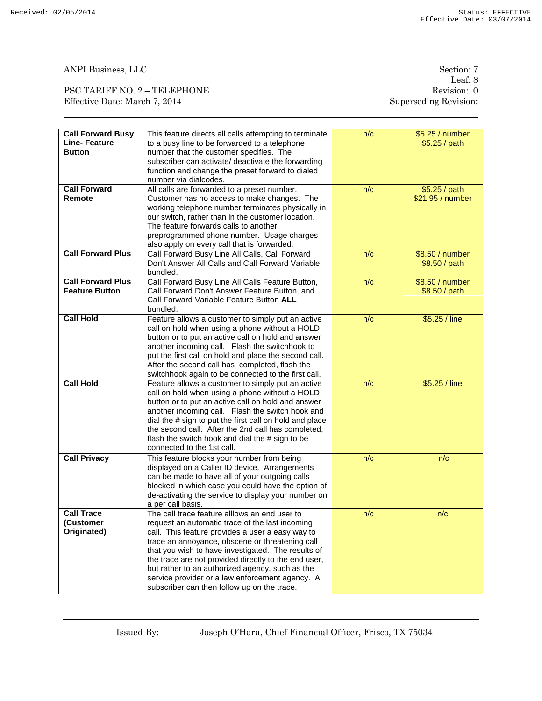### PSC TARIFF NO. 2 – TELEPHONE Revision: 0 Effective Date: March 7, 2014 Superseding Revision:

| <b>Call Forward Busy</b><br><b>Line-Feature</b><br><b>Button</b> | This feature directs all calls attempting to terminate<br>to a busy line to be forwarded to a telephone<br>number that the customer specifies. The<br>subscriber can activate/ deactivate the forwarding<br>function and change the preset forward to dialed<br>number via dialcodes.                                                                                                                                                                                      | n/c | \$5.25 / number<br>\$5.25/path    |
|------------------------------------------------------------------|----------------------------------------------------------------------------------------------------------------------------------------------------------------------------------------------------------------------------------------------------------------------------------------------------------------------------------------------------------------------------------------------------------------------------------------------------------------------------|-----|-----------------------------------|
| <b>Call Forward</b><br>Remote                                    | All calls are forwarded to a preset number.<br>Customer has no access to make changes. The<br>working telephone number terminates physically in<br>our switch, rather than in the customer location.<br>The feature forwards calls to another<br>preprogrammed phone number. Usage charges<br>also apply on every call that is forwarded.                                                                                                                                  | n/c | \$5.25 / path<br>\$21.95 / number |
| <b>Call Forward Plus</b>                                         | Call Forward Busy Line All Calls, Call Forward<br>Don't Answer All Calls and Call Forward Variable<br>bundled.                                                                                                                                                                                                                                                                                                                                                             | n/c | \$8.50 / number<br>\$8.50 / path  |
| <b>Call Forward Plus</b><br><b>Feature Button</b>                | Call Forward Busy Line All Calls Feature Button,<br>Call Forward Don't Answer Feature Button, and<br>Call Forward Variable Feature Button ALL<br>bundled.                                                                                                                                                                                                                                                                                                                  | n/c | \$8.50 / number<br>\$8.50 / path  |
| <b>Call Hold</b>                                                 | Feature allows a customer to simply put an active<br>call on hold when using a phone without a HOLD<br>button or to put an active call on hold and answer<br>another incoming call. Flash the switchhook to<br>put the first call on hold and place the second call.<br>After the second call has completed, flash the<br>switchhook again to be connected to the first call.                                                                                              | n/c | \$5.25 / line                     |
| <b>Call Hold</b>                                                 | Feature allows a customer to simply put an active<br>call on hold when using a phone without a HOLD<br>button or to put an active call on hold and answer<br>another incoming call. Flash the switch hook and<br>dial the # sign to put the first call on hold and place<br>the second call. After the 2nd call has completed,<br>flash the switch hook and dial the # sign to be<br>connected to the 1st call.                                                            | n/c | \$5.25 / line                     |
| <b>Call Privacy</b>                                              | This feature blocks your number from being<br>displayed on a Caller ID device. Arrangements<br>can be made to have all of your outgoing calls<br>blocked in which case you could have the option of<br>de-activating the service to display your number on<br>a per call basis.                                                                                                                                                                                            | n/c | n/c                               |
| <b>Call Trace</b><br>(Customer<br>Originated)                    | The call trace feature alllows an end user to<br>request an automatic trace of the last incoming<br>call. This feature provides a user a easy way to<br>trace an annoyance, obscene or threatening call<br>that you wish to have investigated. The results of<br>the trace are not provided directly to the end user,<br>but rather to an authorized agency, such as the<br>service provider or a law enforcement agency. A<br>subscriber can then follow up on the trace. | n/c | n/c                               |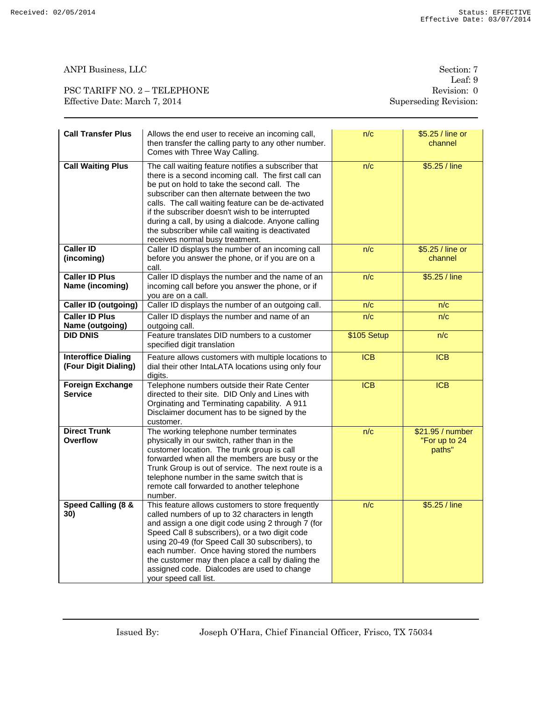PSC TARIFF NO. 2 – TELEPHONE Revision: 0 Effective Date: March 7, 2014 Superseding Revision:

| <b>Call Transfer Plus</b>                          | Allows the end user to receive an incoming call,<br>then transfer the calling party to any other number.<br>Comes with Three Way Calling.                                                                                                                                                                                                                                                                                                                          | n/c              | \$5.25 / line or<br>channel                 |
|----------------------------------------------------|--------------------------------------------------------------------------------------------------------------------------------------------------------------------------------------------------------------------------------------------------------------------------------------------------------------------------------------------------------------------------------------------------------------------------------------------------------------------|------------------|---------------------------------------------|
| <b>Call Waiting Plus</b>                           | The call waiting feature notifies a subscriber that<br>there is a second incoming call. The first call can<br>be put on hold to take the second call. The<br>subscriber can then alternate between the two<br>calls. The call waiting feature can be de-activated<br>if the subscriber doesn't wish to be interrupted<br>during a call, by using a dialcode. Anyone calling<br>the subscriber while call waiting is deactivated<br>receives normal busy treatment. | n/c              | \$5.25 / line                               |
| <b>Caller ID</b><br>(incoming)                     | Caller ID displays the number of an incoming call<br>before you answer the phone, or if you are on a<br>call.                                                                                                                                                                                                                                                                                                                                                      | n/c              | \$5.25 / line or<br>channel                 |
| <b>Caller ID Plus</b><br>Name (incoming)           | Caller ID displays the number and the name of an<br>incoming call before you answer the phone, or if<br>you are on a call.                                                                                                                                                                                                                                                                                                                                         | n/c              | $$5.25/$ line                               |
| <b>Caller ID (outgoing)</b>                        | Caller ID displays the number of an outgoing call.                                                                                                                                                                                                                                                                                                                                                                                                                 | n/c              | n/c                                         |
| <b>Caller ID Plus</b><br>Name (outgoing)           | Caller ID displays the number and name of an<br>outgoing call.                                                                                                                                                                                                                                                                                                                                                                                                     | n/c              | n/c                                         |
| <b>DID DNIS</b>                                    | Feature translates DID numbers to a customer<br>specified digit translation                                                                                                                                                                                                                                                                                                                                                                                        | \$105 Setup      | n/c                                         |
| <b>Interoffice Dialing</b><br>(Four Digit Dialing) | Feature allows customers with multiple locations to<br>dial their other IntaLATA locations using only four<br>digits.                                                                                                                                                                                                                                                                                                                                              | <b>ICB</b>       | <b>ICB</b>                                  |
| <b>Foreign Exchange</b><br><b>Service</b>          | Telephone numbers outside their Rate Center<br>directed to their site. DID Only and Lines with<br>Orginating and Terminating capability. A 911<br>Disclaimer document has to be signed by the<br>customer.                                                                                                                                                                                                                                                         | $\overline{ICB}$ | ICB                                         |
| <b>Direct Trunk</b><br>Overflow                    | The working telephone number terminates<br>physically in our switch, rather than in the<br>customer location. The trunk group is call<br>forwarded when all the members are busy or the<br>Trunk Group is out of service. The next route is a<br>telephone number in the same switch that is<br>remote call forwarded to another telephone<br>number.                                                                                                              | n/c              | \$21.95 / number<br>"For up to 24<br>paths" |
| Speed Calling (8 &<br>30)                          | This feature allows customers to store frequently<br>called numbers of up to 32 characters in length<br>and assign a one digit code using 2 through 7 (for<br>Speed Call 8 subscribers), or a two digit code<br>using 20-49 (for Speed Call 30 subscribers), to<br>each number. Once having stored the numbers<br>the customer may then place a call by dialing the<br>assigned code. Dialcodes are used to change<br>your speed call list.                        | n/c              | \$5.25 / line                               |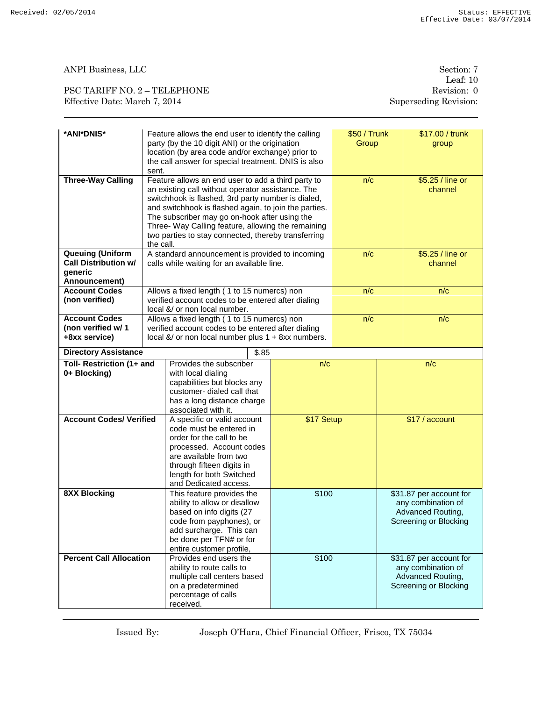PSC TARIFF NO. 2 – TELEPHONE Revision: 0 Effective Date: March 7, 2014 Superseding Revision:

| *ANI*DNIS*                                                                         | Feature allows the end user to identify the calling<br>party (by the 10 digit ANI) or the origination<br>location (by area code and/or exchange) prior to<br>the call answer for special treatment. DNIS is also<br>sent. |                                                                                                                                                                                                                                                                                                                                                                                      | \$50 / Trunk<br>Group |                                                                                                    | \$17.00 / trunk<br>group    |
|------------------------------------------------------------------------------------|---------------------------------------------------------------------------------------------------------------------------------------------------------------------------------------------------------------------------|--------------------------------------------------------------------------------------------------------------------------------------------------------------------------------------------------------------------------------------------------------------------------------------------------------------------------------------------------------------------------------------|-----------------------|----------------------------------------------------------------------------------------------------|-----------------------------|
| <b>Three-Way Calling</b>                                                           | the call.                                                                                                                                                                                                                 | Feature allows an end user to add a third party to<br>an existing call without operator assistance. The<br>switchhook is flashed, 3rd party number is dialed,<br>and switchhook is flashed again, to join the parties.<br>The subscriber may go on-hook after using the<br>Three- Way Calling feature, allowing the remaining<br>two parties to stay connected, thereby transferring |                       |                                                                                                    | \$5.25 / line or<br>channel |
| <b>Queuing (Uniform</b><br><b>Call Distribution w/</b><br>generic<br>Announcement) | A standard announcement is provided to incoming<br>calls while waiting for an available line.                                                                                                                             |                                                                                                                                                                                                                                                                                                                                                                                      | n/c                   |                                                                                                    | \$5.25 / line or<br>channel |
| <b>Account Codes</b><br>(non verified)                                             | Allows a fixed length (1 to 15 numercs) non<br>verified account codes to be entered after dialing<br>local &/ or non local number.                                                                                        |                                                                                                                                                                                                                                                                                                                                                                                      | n/c                   |                                                                                                    | n/c                         |
| <b>Account Codes</b><br>(non verified w/ 1<br>+8xx service)                        |                                                                                                                                                                                                                           | Allows a fixed length (1 to 15 numercs) non<br>verified account codes to be entered after dialing<br>local &/ or non local number plus 1 + 8xx numbers.                                                                                                                                                                                                                              |                       |                                                                                                    | n/c                         |
| <b>Directory Assistance</b>                                                        | \$.85                                                                                                                                                                                                                     |                                                                                                                                                                                                                                                                                                                                                                                      |                       |                                                                                                    |                             |
| Toll- Restriction (1+ and<br>0+ Blocking)<br><b>Account Codes/ Verified</b>        | Provides the subscriber<br>with local dialing<br>capabilities but blocks any<br>customer- dialed call that<br>has a long distance charge<br>associated with it.<br>A specific or valid account                            | n/c<br>\$17 Setup                                                                                                                                                                                                                                                                                                                                                                    |                       | n/c<br>\$17 / account                                                                              |                             |
|                                                                                    | code must be entered in<br>order for the call to be<br>processed. Account codes<br>are available from two<br>through fifteen digits in<br>length for both Switched<br>and Dedicated access.                               |                                                                                                                                                                                                                                                                                                                                                                                      |                       |                                                                                                    |                             |
| <b>8XX Blocking</b>                                                                | This feature provides the<br>ability to allow or disallow<br>based on info digits (27<br>code from payphones), or<br>add surcharge. This can<br>be done per TFN# or for<br>entire customer profile,                       | \$100                                                                                                                                                                                                                                                                                                                                                                                |                       | \$31.87 per account for<br>any combination of<br>Advanced Routing,<br><b>Screening or Blocking</b> |                             |
| <b>Percent Call Allocation</b>                                                     | Provides end users the<br>ability to route calls to<br>multiple call centers based<br>on a predetermined<br>percentage of calls<br>received.                                                                              | \$100                                                                                                                                                                                                                                                                                                                                                                                |                       | \$31.87 per account for<br>any combination of<br>Advanced Routing,<br>Screening or Blocking        |                             |